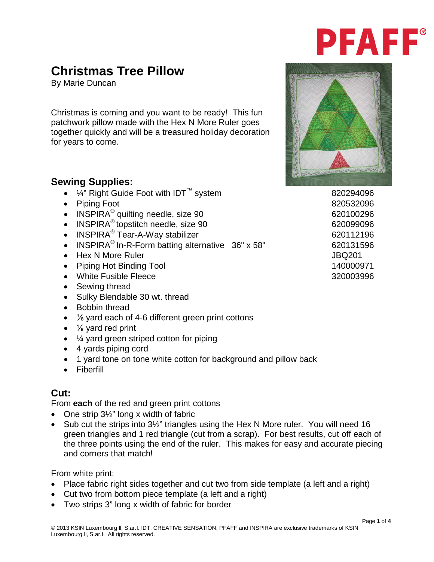# **PFAFF®**

## **Christmas Tree Pillow**

By Marie Duncan

Christmas is coming and you want to be ready! This fun patchwork pillow made with the Hex N More Ruler goes together quickly and will be a treasured holiday decoration for years to come.

#### **Sewing Supplies:**

- $\frac{1}{4}$ " Right Guide Foot with IDT<sup>™</sup> system 820294096
- Piping Foot 820532096
- INSPIRA<sup>®</sup> quilting needle, size 90 620100296
- INSPIRA<sup>®</sup> topstitch needle, size 90 620099096
- INSPIRA<sup>®</sup> Tear-A-Way stabilizer 620112196
- INSPIRA<sup>®</sup> In-R-Form batting alternative  $36" \times 58"$  620131596
- Hex N More Ruler  $\overline{J}$  JBQ201
- Piping Hot Binding Tool 140000971
- White Fusible Fleece 320003996
- Sewing thread
- Sulky Blendable 30 wt. thread
- Bobbin thread
- 1/<sub>8</sub> yard each of 4-6 different green print cottons
- $\bullet$  % yard red print
- $\bullet$   $\frac{1}{4}$  yard green striped cotton for piping
- 4 yards piping cord
- 1 yard tone on tone white cotton for background and pillow back
- Fiberfill

### **Cut:**

From **each** of the red and green print cottons

- One strip 3<sup>1/2</sup> long x width of fabric
- Sub cut the strips into 3<sup>1/2</sup>" triangles using the Hex N More ruler. You will need 16 green triangles and 1 red triangle (cut from a scrap). For best results, cut off each of the three points using the end of the ruler. This makes for easy and accurate piecing and corners that match!

From white print:

- Place fabric right sides together and cut two from side template (a left and a right)
- Cut two from bottom piece template (a left and a right)
- Two strips 3" long x width of fabric for border



Page **1** of **4**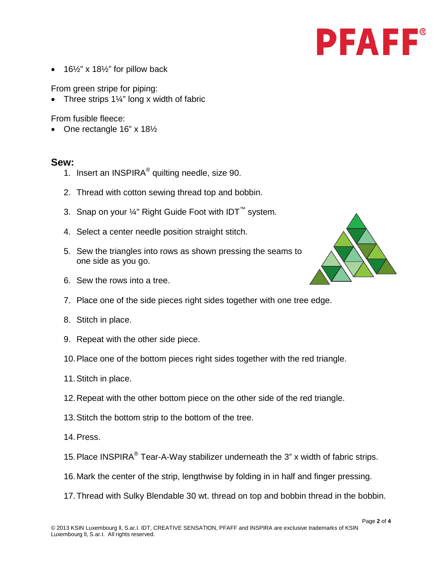

16 $\frac{1}{2}$ " x 18 $\frac{1}{2}$ " for pillow back

From green stripe for piping:

Three strips  $1\frac{1}{4}$ " long x width of fabric

From fusible fleece:

• One rectangle 16" x 181/2

#### **Sew:**

- 1. Insert an INSPIRA® quilting needle, size 90.
- 2. Thread with cotton sewing thread top and bobbin.
- 3. Snap on your ¼" Right Guide Foot with IDT<sup>™</sup> system.
- 4. Select a center needle position straight stitch.
- 5. Sew the triangles into rows as shown pressing the seams to one side as you go.
- 6. Sew the rows into a tree.
- 7. Place one of the side pieces right sides together with one tree edge.
- 8. Stitch in place.
- 9. Repeat with the other side piece.
- 10.Place one of the bottom pieces right sides together with the red triangle.
- 11.Stitch in place.
- 12.Repeat with the other bottom piece on the other side of the red triangle.
- 13.Stitch the bottom strip to the bottom of the tree.
- 14.Press.
- 15. Place INSPIRA<sup>®</sup> Tear-A-Way stabilizer underneath the 3" x width of fabric strips.
- 16.Mark the center of the strip, lengthwise by folding in in half and finger pressing.
- 17.Thread with Sulky Blendable 30 wt. thread on top and bobbin thread in the bobbin.

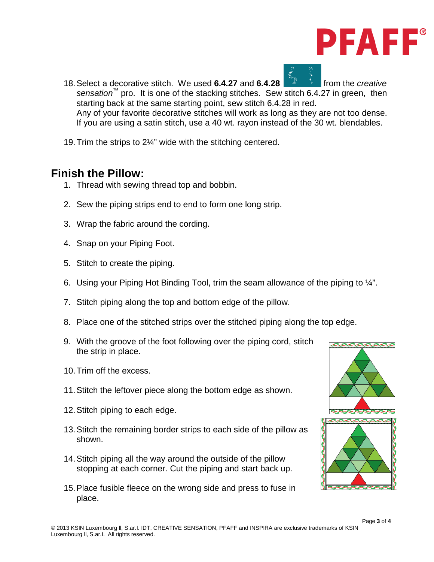

- 18. Select a decorative stitch. We used **6.4.27** and **6.4.28** *and* **from the** *creative sensation*™ pro. It is one of the stacking stitches. Sew stitch 6.4.27 in green, then starting back at the same starting point, sew stitch 6.4.28 in red. Any of your favorite decorative stitches will work as long as they are not too dense. If you are using a satin stitch, use a 40 wt. rayon instead of the 30 wt. blendables.
- 19.Trim the strips to 2¼" wide with the stitching centered.

### **Finish the Pillow:**

- 1. Thread with sewing thread top and bobbin.
- 2. Sew the piping strips end to end to form one long strip.
- 3. Wrap the fabric around the cording.
- 4. Snap on your Piping Foot.
- 5. Stitch to create the piping.
- 6. Using your Piping Hot Binding Tool, trim the seam allowance of the piping to ¼".
- 7. Stitch piping along the top and bottom edge of the pillow.
- 8. Place one of the stitched strips over the stitched piping along the top edge.
- 9. With the groove of the foot following over the piping cord, stitch the strip in place.
- 10.Trim off the excess.
- 11.Stitch the leftover piece along the bottom edge as shown.
- 12.Stitch piping to each edge.
- 13.Stitch the remaining border strips to each side of the pillow as shown.
- 14.Stitch piping all the way around the outside of the pillow stopping at each corner. Cut the piping and start back up.
- 15.Place fusible fleece on the wrong side and press to fuse in place.

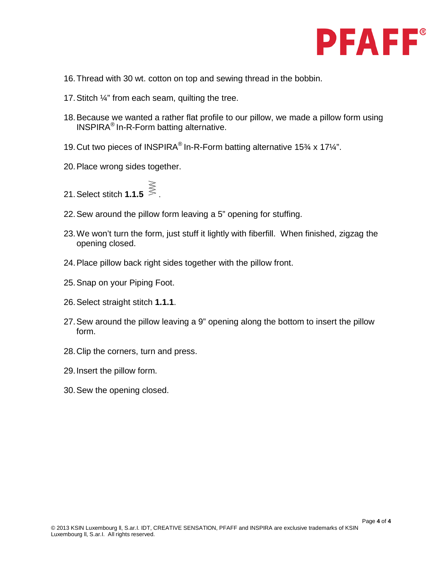

- 16.Thread with 30 wt. cotton on top and sewing thread in the bobbin.
- 17.Stitch ¼" from each seam, quilting the tree.
- 18.Because we wanted a rather flat profile to our pillow, we made a pillow form using INSPIRA® In-R-Form batting alternative.
- 19.Cut two pieces of INSPIRA® In-R-Form batting alternative 15¾ x 17¼".
- 20.Place wrong sides together.
- 21. Select stitch **1.1.5**
- 22.Sew around the pillow form leaving a 5" opening for stuffing.
- 23.We won't turn the form, just stuff it lightly with fiberfill. When finished, zigzag the opening closed.
- 24.Place pillow back right sides together with the pillow front.
- 25.Snap on your Piping Foot.
- 26.Select straight stitch **1.1.1**.
- 27.Sew around the pillow leaving a 9" opening along the bottom to insert the pillow form.
- 28.Clip the corners, turn and press.
- 29.Insert the pillow form.
- 30.Sew the opening closed.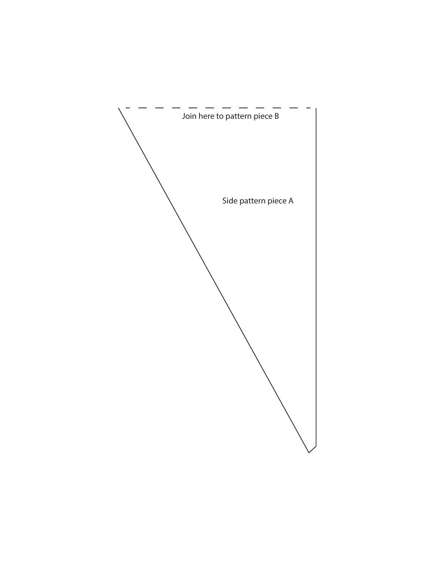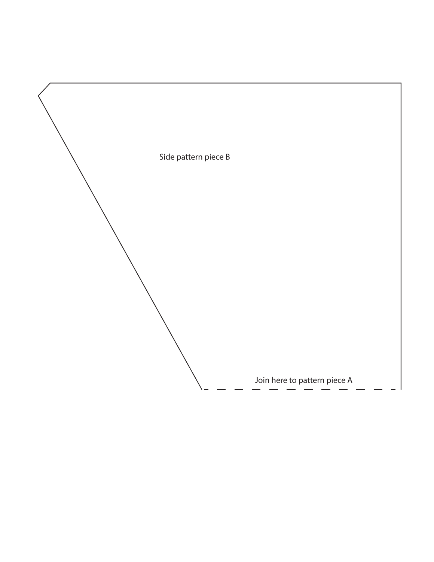